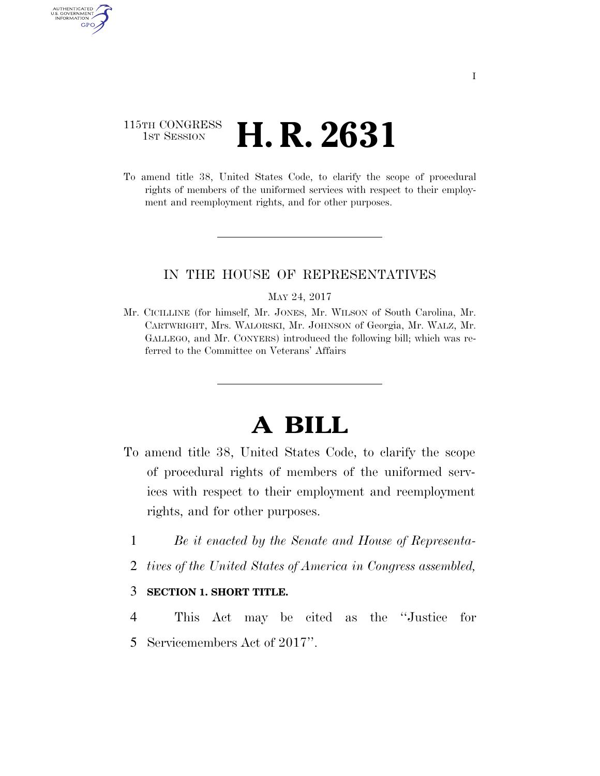## 115TH CONGRESS **1st Session H. R. 2631**

AUTHENTICATED U.S. GOVERNMENT **GPO** 

> To amend title 38, United States Code, to clarify the scope of procedural rights of members of the uniformed services with respect to their employment and reemployment rights, and for other purposes.

### IN THE HOUSE OF REPRESENTATIVES

#### MAY 24, 2017

Mr. CICILLINE (for himself, Mr. JONES, Mr. WILSON of South Carolina, Mr. CARTWRIGHT, Mrs. WALORSKI, Mr. JOHNSON of Georgia, Mr. WALZ, Mr. GALLEGO, and Mr. CONYERS) introduced the following bill; which was referred to the Committee on Veterans' Affairs

# **A BILL**

- To amend title 38, United States Code, to clarify the scope of procedural rights of members of the uniformed services with respect to their employment and reemployment rights, and for other purposes.
	- 1 *Be it enacted by the Senate and House of Representa-*
	- 2 *tives of the United States of America in Congress assembled,*

#### 3 **SECTION 1. SHORT TITLE.**

4 This Act may be cited as the ''Justice for 5 Servicemembers Act of 2017''.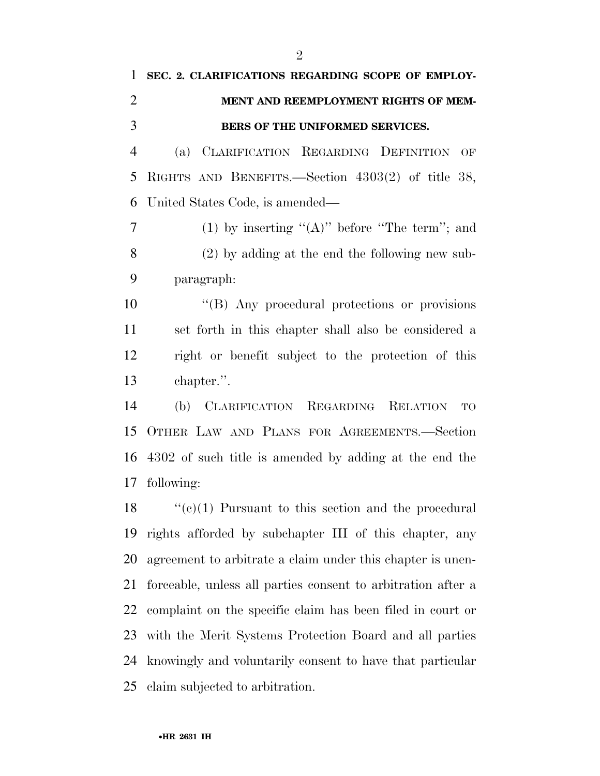# **SEC. 2. CLARIFICATIONS REGARDING SCOPE OF EMPLOY- MENT AND REEMPLOYMENT RIGHTS OF MEM-BERS OF THE UNIFORMED SERVICES.**

 (a) CLARIFICATION REGARDING DEFINITION OF RIGHTS AND BENEFITS.—Section 4303(2) of title 38, United States Code, is amended—

7 (1) by inserting  $(4)$ <sup>"</sup> before "The term"; and (2) by adding at the end the following new sub-paragraph:

 ''(B) Any procedural protections or provisions set forth in this chapter shall also be considered a right or benefit subject to the protection of this chapter.''.

 (b) CLARIFICATION REGARDING RELATION TO OTHER LAW AND PLANS FOR AGREEMENTS.—Section 4302 of such title is amended by adding at the end the following:

 $\langle (e)(1) \rangle$  Pursuant to this section and the procedural rights afforded by subchapter III of this chapter, any agreement to arbitrate a claim under this chapter is unen- forceable, unless all parties consent to arbitration after a complaint on the specific claim has been filed in court or with the Merit Systems Protection Board and all parties knowingly and voluntarily consent to have that particular claim subjected to arbitration.